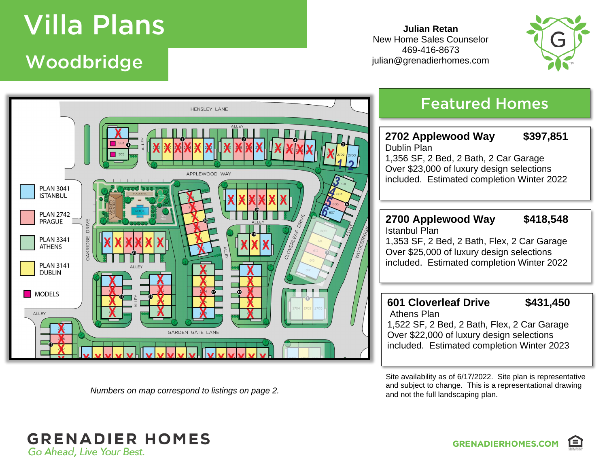## available in the Indian State Indian State Indian State Indian State Indian State Indian State Indian State In<br>1980 - Indian State Indian State Indian State Indian State Indian State Indian State Indian State Indian State Woodbridge Woodbridge

**Julian Retan** New Home Sales Counselor 469-416-8673 julian@grenadierhomes.com





*Numbers on map correspond to listings on page 2.*

Site availability as of 6/17/2022. Site plan is representative and subject to change. This is a representational drawing and not the full landscaping plan.